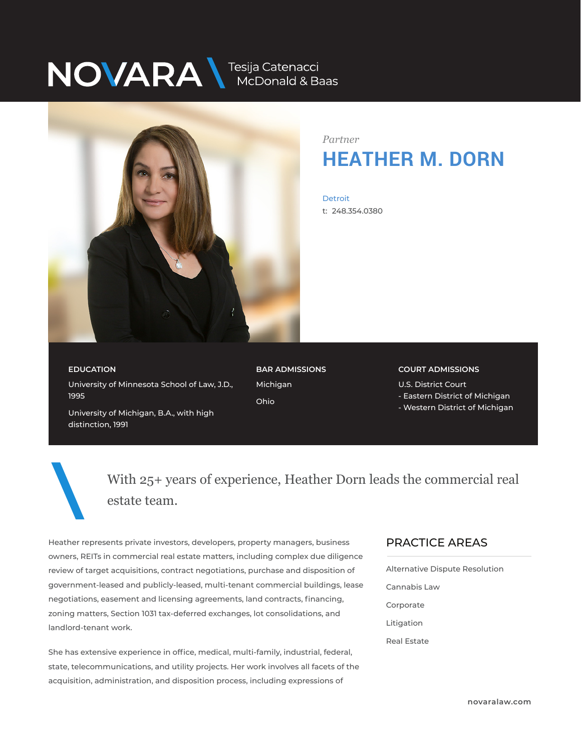# NOVARA MEDOnald & Baas



*Partner* **HEATHER M. DORN**

**Detroit** t: 248.354.0380

## **EDUCATION**

University of Minnesota School of Law, J.D., 1995

**BAR ADMISSIONS** Michigan Ohio

#### **COURT ADMISSIONS**

U.S. District Court

- Eastern District of Michigan
- Western District of Michigan

University of Michigan, B.A., with high distinction, 1991

> With 25+ years of experience, Heather Dorn leads the commercial real estate team.

Heather represents private investors, developers, property managers, business owners, REITs in commercial real estate matters, including complex due diligence review of target acquisitions, contract negotiations, purchase and disposition of government-leased and publicly-leased, multi-tenant commercial buildings, lease negotiations, easement and licensing agreements, land contracts, financing, zoning matters, Section 1031 tax-deferred exchanges, lot consolidations, and landlord-tenant work.

She has extensive experience in office, medical, multi-family, industrial, federal, state, telecommunications, and utility projects. Her work involves all facets of the acquisition, administration, and disposition process, including expressions of

#### PRACTICE AREAS  $\overline{\phantom{a}}$

Alternative Dispute Resolution Cannabis Law Corporate Litigation Real Estate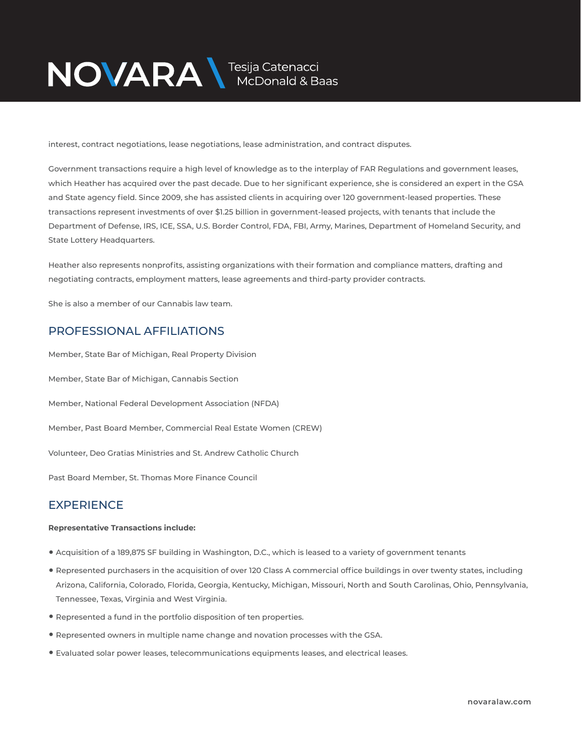

interest, contract negotiations, lease negotiations, lease administration, and contract disputes.

Government transactions require a high level of knowledge as to the interplay of FAR Regulations and government leases, which Heather has acquired over the past decade. Due to her significant experience, she is considered an expert in the GSA and State agency field. Since 2009, she has assisted clients in acquiring over 120 government-leased properties. These transactions represent investments of over \$1.25 billion in government-leased projects, with tenants that include the Department of Defense, IRS, ICE, SSA, U.S. Border Control, FDA, FBI, Army, Marines, Department of Homeland Security, and State Lottery Headquarters.

Heather also represents nonprofits, assisting organizations with their formation and compliance matters, drafting and negotiating contracts, employment matters, lease agreements and third-party provider contracts.

She is also a member of our Cannabis law team.

### PROFESSIONAL AFFILIATIONS

Member, State Bar of Michigan, Real Property Division Member, State Bar of Michigan, Cannabis Section Member, National Federal Development Association (NFDA) Member, Past Board Member, Commercial Real Estate Women (CREW) Volunteer, Deo Gratias Ministries and St. Andrew Catholic Church

Past Board Member, St. Thomas More Finance Council

## **EXPERIENCE**

#### **Representative Transactions include:**

- Acquisition of a 189,875 SF building in Washington, D.C., which is leased to a variety of government tenants
- Represented purchasers in the acquisition of over 120 Class A commercial office buildings in over twenty states, including Arizona, California, Colorado, Florida, Georgia, Kentucky, Michigan, Missouri, North and South Carolinas, Ohio, Pennsylvania, Tennessee, Texas, Virginia and West Virginia.
- Represented a fund in the portfolio disposition of ten properties.
- Represented owners in multiple name change and novation processes with the GSA.
- Evaluated solar power leases, telecommunications equipments leases, and electrical leases.